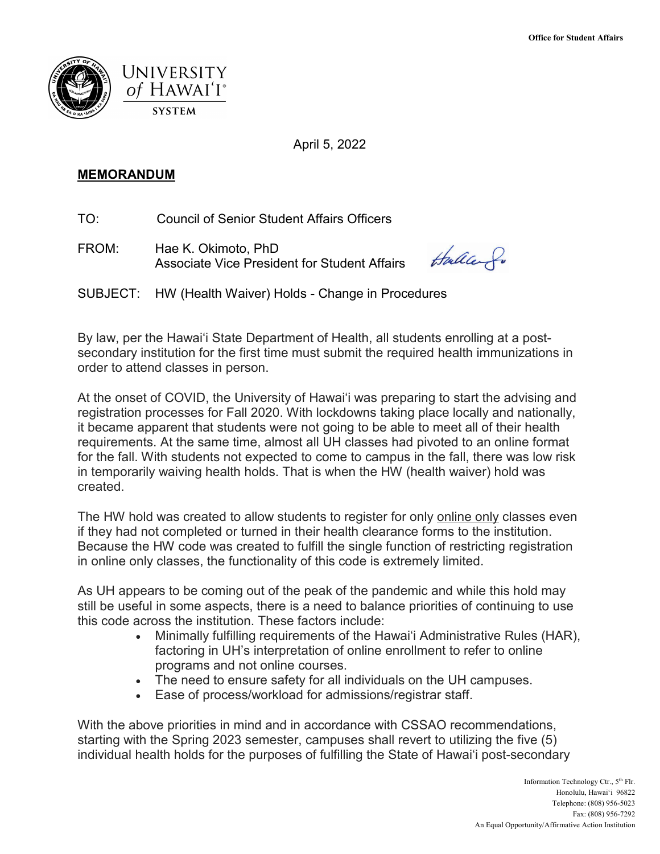

April 5, 2022

## **MEMORANDUM**

TO. Council of Senior Student Affairs Officers

FROM: Hae K. Okimoto, PhD Associate Vice President for Student Affairs

taller fo

SUBJECT: HW (Health Waiver) Holds - Change in Procedures

By law, per the Hawai'i State Department of Health, all students enrolling at a postsecondary institution for the first time must submit the required health immunizations in order to attend classes in person.

 for the fall. With students not expected to come to campus in the fall, there was low risk At the onset of COVID, the University of Hawai'i was preparing to start the advising and registration processes for Fall 2020. With lockdowns taking place locally and nationally, it became apparent that students were not going to be able to meet all of their health requirements. At the same time, almost all UH classes had pivoted to an online format in temporarily waiving health holds. That is when the HW (health waiver) hold was created.

 in online only classes, the functionality of this code is extremely limited. The HW hold was created to allow students to register for only online only classes even if they had not completed or turned in their health clearance forms to the institution. Because the HW code was created to fulfill the single function of restricting registration

 As UH appears to be coming out of the peak of the pandemic and while this hold may still be useful in some aspects, there is a need to balance priorities of continuing to use this code across the institution. These factors include:

- programs and not online courses. • Minimally fulfilling requirements of the Hawai'i Administrative Rules (HAR), factoring in UH's interpretation of online enrollment to refer to online
- The need to ensure safety for all individuals on the UH campuses.
- Ease of process/workload for admissions/registrar staff.

 starting with the Spring 2023 semester, campuses shall revert to utilizing the five (5) With the above priorities in mind and in accordance with CSSAO recommendations, individual health holds for the purposes of fulfilling the State of Hawai'i post-secondary